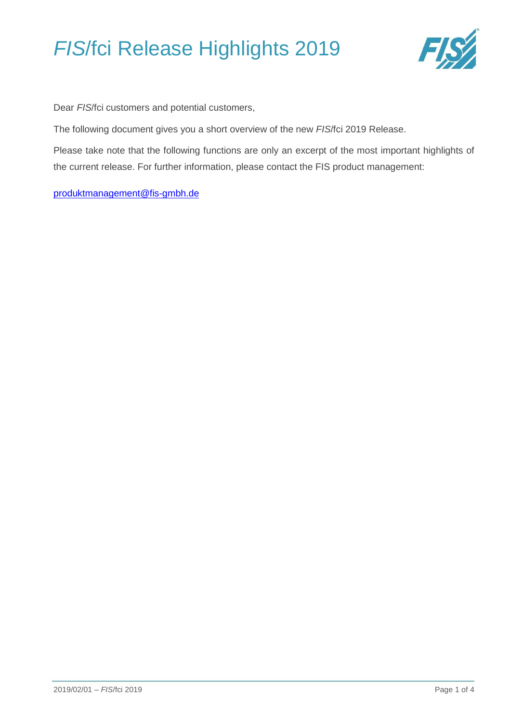

Dear *FIS*/fci customers and potential customers,

The following document gives you a short overview of the new *FIS*/fci 2019 Release.

Please take note that the following functions are only an excerpt of the most important highlights of the current release. For further information, please contact the FIS product management:

[produktmanagement@fis-gmbh.de](mailto:produktmanagement@fis-gmbh.de)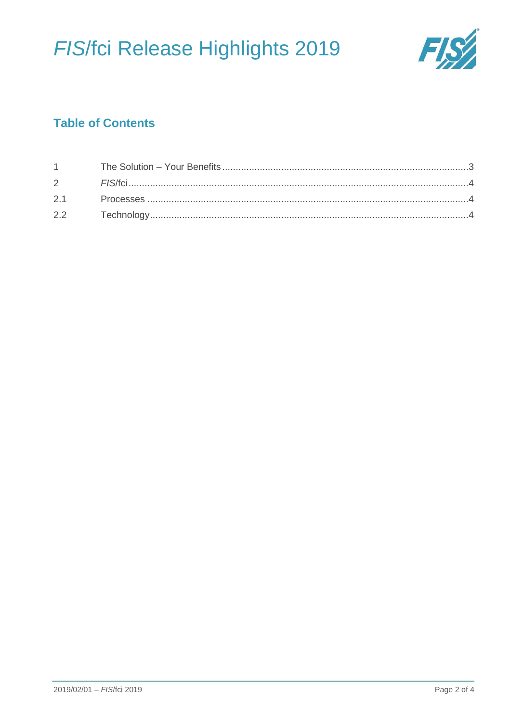

## **Table of Contents**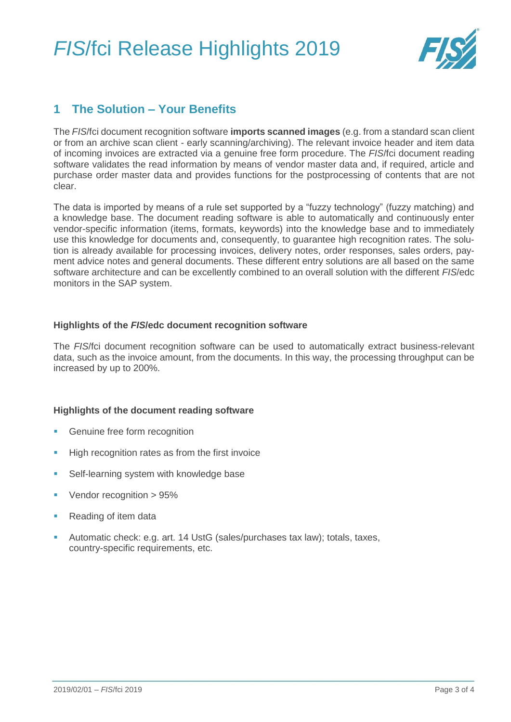

### <span id="page-2-0"></span>**1 The Solution – Your Benefits**

The *FIS*/fci document recognition software **imports scanned images** (e.g. from a standard scan client or from an archive scan client - early scanning/archiving). The relevant invoice header and item data of incoming invoices are extracted via a genuine free form procedure. The *FIS*/fci document reading software validates the read information by means of vendor master data and, if required, article and purchase order master data and provides functions for the postprocessing of contents that are not clear.

The data is imported by means of a rule set supported by a "fuzzy technology" (fuzzy matching) and a knowledge base. The document reading software is able to automatically and continuously enter vendor-specific information (items, formats, keywords) into the knowledge base and to immediately use this knowledge for documents and, consequently, to guarantee high recognition rates. The solution is already available for processing invoices, delivery notes, order responses, sales orders, payment advice notes and general documents. These different entry solutions are all based on the same software architecture and can be excellently combined to an overall solution with the different *FIS*/edc monitors in the SAP system.

#### **Highlights of the** *FIS***/edc document recognition software**

The *FIS*/fci document recognition software can be used to automatically extract business-relevant data, such as the invoice amount, from the documents. In this way, the processing throughput can be increased by up to 200%.

#### **Highlights of the document reading software**

- Genuine free form recognition
- High recognition rates as from the first invoice
- Self-learning system with knowledge base
- Vendor recognition > 95%
- Reading of item data
- Automatic check: e.g. art. 14 UstG (sales/purchases tax law); totals, taxes, country-specific requirements, etc.